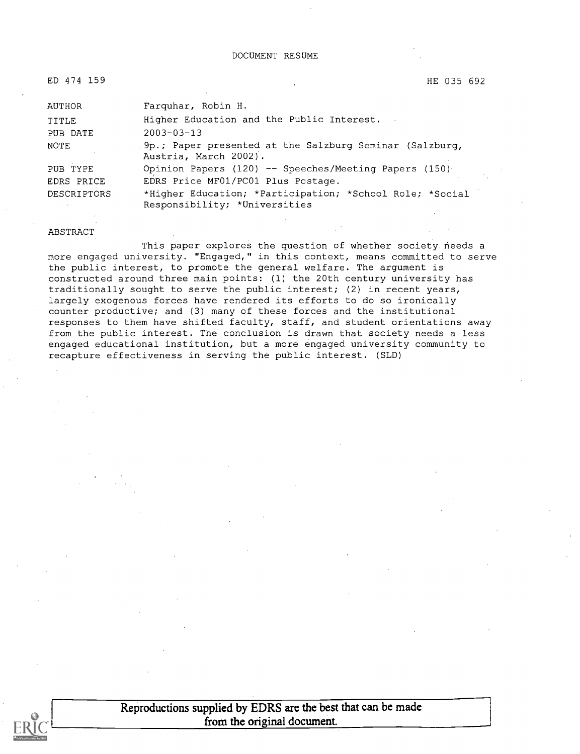ED 474 159 HE 035 692

| AUTHOR      | Farquhar, Robin H.                                                                        |
|-------------|-------------------------------------------------------------------------------------------|
| TITLE       | Higher Education and the Public Interest.                                                 |
| PUB DATE    | $2003 - 03 - 13$                                                                          |
| NOTE        | 9p.; Paper presented at the Salzburg Seminar (Salzburg,<br>Austria, March 2002).          |
| PUB TYPE    | Opinion Papers (120) -- Speeches/Meeting Papers (150)                                     |
| EDRS PRICE  | EDRS Price MF01/PC01 Plus Postage.                                                        |
| DESCRIPTORS | *Higher Education; *Participation; *School Role; *Social<br>Responsibility; *Universities |

#### ABSTRACT

This paper explores the question of whether society needs a more engaged university. "Engaged," in this context, means committed to serve the public interest, to promote the general welfare. The argument is constructed around three main points: (1) the 20th century university has traditionally sought to serve the public interest; (2) in recent years, largely exogenous forces have rendered its efforts to do so ironically counter productive; and (3) many of these forces and the institutional responses to them have shifted faculty, staff, and student orientations away from the public interest. The conclusion is drawn that society needs a less engaged educational institution, but a more engaged university community to recapture effectiveness in serving the public interest. (SLD)



Reproductions supplied by EDRS are the best that can be made from the original document.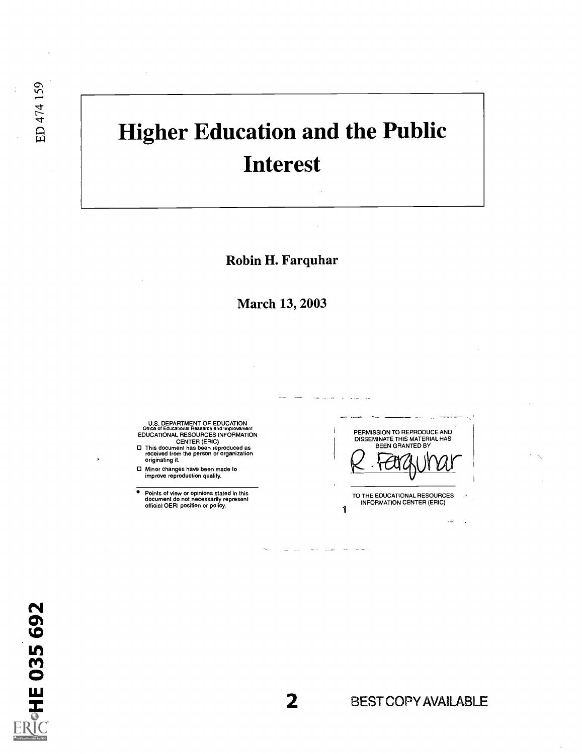# Higher Education and the Public Interest

Robin H. Farquhar

March 13, 2003

U.S. DEPARTMENT OF EDUCATION<br>Office of Educational Research and Improvement<br>EDUCATIONAL RESOURCES INFORMATION

CENTER (ERIC) This document has been reproduced as received from the person or organization originating it.

Minor changes have been made to improve reproduction quality.

 $\bullet$ Points of view or opinions stated in this document do not necessarily represent official OERI position or policy.

PERMISSION TO REPRODUCE AND DISSEMINATE THIS MATERIAL HAS BEEN GRANTED BY TO THE EDUCATIONAL RESOURCES INFORMATION CENTER (ERIC)

1

**CHE 035 692** 

ED 474 159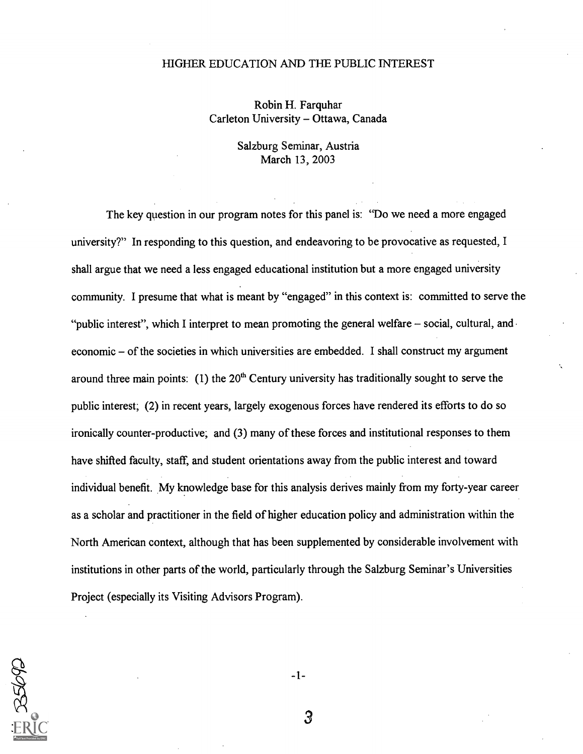#### HIGHER EDUCATION AND THE PUBLIC INTEREST

Robin H. Farquhar Carleton University - Ottawa, Canada

> Salzburg Seminar, Austria March 13, 2003

The key question in our program notes for this panel is: "Do we need a more engaged university?" In responding to this question, and endeavoring to be provocative as requested, I shall argue that we need a less engaged educational institution but a more engaged university community. I presume that what is meant by "engaged" in this context is: committed to serve the "public interest", which I interpret to mean promoting the general welfare  $-$  social, cultural, and  $\overline{ }$  $e$ economic  $-$  of the societies in which universities are embedded. I shall construct my argument around three main points: (1) the  $20<sup>th</sup>$  Century university has traditionally sought to serve the public interest; (2) in recent years, largely exogenous forces have rendered its efforts to do so ironically counter-productive; and (3) many of these forces and institutional responses to them have shifted faculty, staff, and student orientations away from the public interest and toward individual benefit. My knowledge base for this analysis derives mainly from my forty-year career as a scholar and practitioner in the field of higher education policy and administration within the North American context, although that has been supplemented by considerable involvement with institutions in other parts of the world, particularly through the Salzburg Seminar's Universities Project (especially its Visiting Advisors Program).



 $-1-$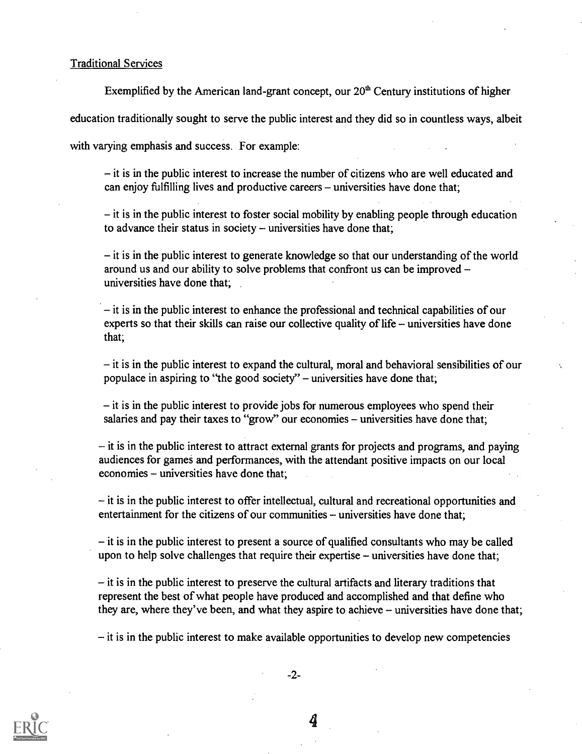#### Traditional Services

Exemplified by the American land-grant concept, our  $20<sup>th</sup>$  Century institutions of higher

education traditionally sought to serve the public interest and they did so in countless ways, albeit

with varying emphasis and success. For example:

 $i$  – it is in the public interest to increase the number of citizens who are well educated and can enjoy fulfilling lives and productive careers – universities have done that;

 $\overline{\phantom{a}}$  it is in the public interest to foster social mobility by enabling people through education to advance their status in society  $-$  universities have done that;

 $\overline{\phantom{a}}$  it is in the public interest to generate knowledge so that our understanding of the world around us and our ability to solve problems that confront us can be improved universities have done that;

 $-$  it is in the public interest to enhance the professional and technical capabilities of our experts so that their skills can raise our collective quality of life  $-$  universities have done that;

 $\overline{\phantom{a}}$  it is in the public interest to expand the cultural, moral and behavioral sensibilities of our populace in aspiring to "the good society" – universities have done that;

 $-$  it is in the public interest to provide jobs for numerous employees who spend their salaries and pay their taxes to "grow" our economies – universities have done that;

 $-$  it is in the public interest to attract external grants for projects and programs, and paying audiences for games and performances, with the attendant positive impacts on our local economies – universities have done that;

it is in the public interest to offer intellectual, cultural and recreational opportunities and entertainment for the citizens of our communities  $-$  universities have done that;

 $\overline{\phantom{a}}$  it is in the public interest to present a source of qualified consultants who may be called upon to help solve challenges that require their expertise – universities have done that;

 $-$  it is in the public interest to preserve the cultural artifacts and literary traditions that represent the best of what people have produced and accomplished and that define who they are, where they've been, and what they aspire to achieve  $-$  universities have done that;

 $-$  it is in the public interest to make available opportunities to develop new competencies



-2-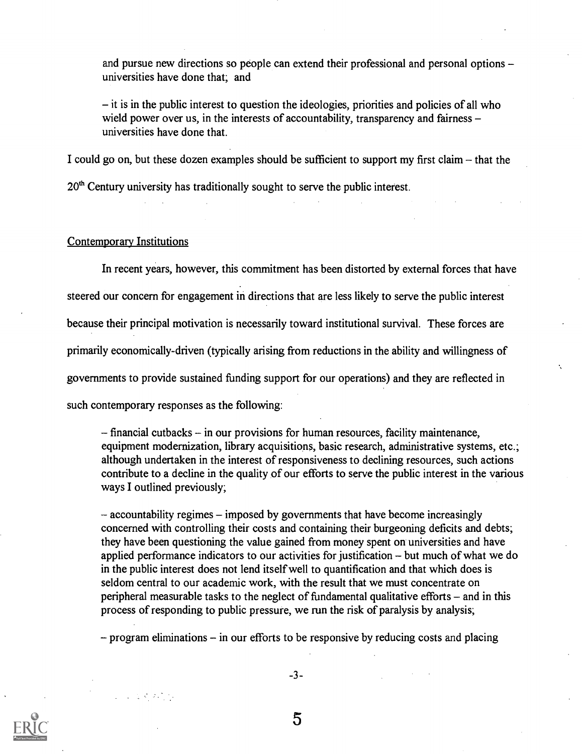and pursue new directions so people can extend their professional and personal options universities have done that; and

 $\overline{\phantom{a}}$  it is in the public interest to question the ideologies, priorities and policies of all who wield power over us, in the interests of accountability, transparency and fairness – universities have done that.

I could go on, but these dozen examples should be sufficient to support my first claim  $-$  that the

 $20<sup>th</sup>$  Century university has traditionally sought to serve the public interest.

#### Contemporary Institutions

 $\label{eq:2.1} \frac{1}{2} \left( \frac{1}{2} \left( \frac{1}{2} \right) \left( \frac{1}{2} \right) \left( \frac{1}{2} \right) \left( \frac{1}{2} \right) \left( \frac{1}{2} \right) \right) \left( \frac{1}{2} \right) \left( \frac{1}{2} \right) \left( \frac{1}{2} \right) \left( \frac{1}{2} \right) \left( \frac{1}{2} \right) \left( \frac{1}{2} \right) \left( \frac{1}{2} \right) \left( \frac{1}{2} \right) \left( \frac{1}{2} \right) \left( \frac{1}{2$ 

In recent years, however, this commitment has been distorted by external forces that have steered our concern for engagement in directions that are less likely to serve the public interest because their principal motivation is necessarily toward institutional survival. These forces are primarily economically-driven (typically arising from reductions in the ability and willingness of governments to provide sustained funding support for our operations) and they are reflected in such contemporary responses as the following:

 $-$  financial cutbacks  $-$  in our provisions for human resources, facility maintenance, equipment modernization, library acquisitions, basic research, administrative systems, etc.; although undertaken in the interest of responsiveness to declining resources, such actions contribute to a decline in the quality of our efforts to serve the public interest in the various ways I outlined previously;

 $-\alpha$  accountability regimes  $-\alpha$  imposed by governments that have become increasingly concerned with controlling their costs and containing their burgeoning deficits and debts; they have been questioning the value gained from money spent on universities and have applied performance indicators to our activities for justification  $-$  but much of what we do in the public interest does not lend itself well to quantification and that which does is seldom central to our academic work, with the result that we must concentrate on peripheral measurable tasks to the neglect of fundamental qualitative efforts  $-$  and in this process of responding to public pressure, we run the risk of paralysis by analysis;

 $-$  program eliminations  $-$  in our efforts to be responsive by reducing costs and placing

-3-

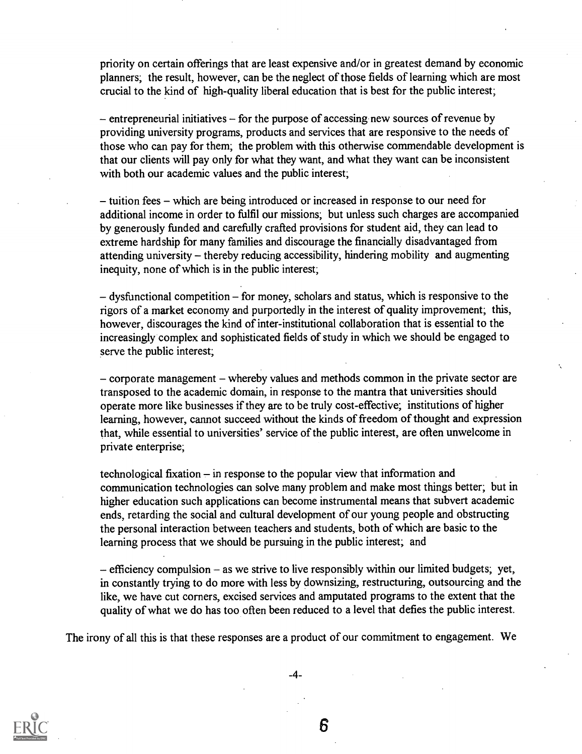priority on certain offerings that are least expensive and/or in greatest demand by economic planners; the result, however, can be the neglect of those fields of learning which are most crucial to the kind of high-quality liberal education that is best for the public interest;

 $-$  entrepreneurial initiatives  $-$  for the purpose of accessing new sources of revenue by providing university programs, products and services that are responsive to the needs of those who can pay for them; the problem with this otherwise commendable development is that our clients will pay only for what they want, and what they want can be inconsistent with both our academic values and the public interest;

- tuition fees - which are being introduced or increased in response to our need for additional income in order to fulfil our missions; but unless such charges are accompanied by generously funded and carefully crafted provisions for student aid, they can lead to extreme hardship for many families and discourage the financially disadvantaged from attending university - thereby reducing accessibility, hindering mobility and augmenting inequity, none of which is in the public interest;

 $-dy$ sfunctional competition  $-$  for money, scholars and status, which is responsive to the rigors of a market economy and purportedly in the interest of quality improvement; this, however, discourages the kind of inter-institutional collaboration that is essential to the increasingly complex and sophisticated fields of study in which we should be engaged to serve the public interest;

 $\sim$  corporate management  $\sim$  whereby values and methods common in the private sector are transposed to the academic domain, in response to the mantra that universities should operate more like businesses if they are to be truly cost-effective; institutions of higher learning, however, cannot succeed without the kinds of freedom of thought and expression that, while essential to universities' service of the public interest, are often unwelcome in private enterprise;

technological fixation  $-\text{in}$  response to the popular view that information and communication technologies can solve many problem and make most things better; but in higher education such applications can become instrumental means that subvert academic ends, retarding the social and cultural development of our young people and obstructing the personal interaction between teachers and students, both of which are basic to the learning process that we should be pursuing in the public interest; and

 $-$  efficiency compulsion  $-$  as we strive to live responsibly within our limited budgets; yet, in constantly trying to do more with less by downsizing, restructuring, outsourcing and the like, we have cut corners, excised services and amputated programs to the extent that the quality of what we do has too often been reduced to a level that defies the public interest.

The irony of all this is that these responses are a product of our commitment to engagement. We



-4-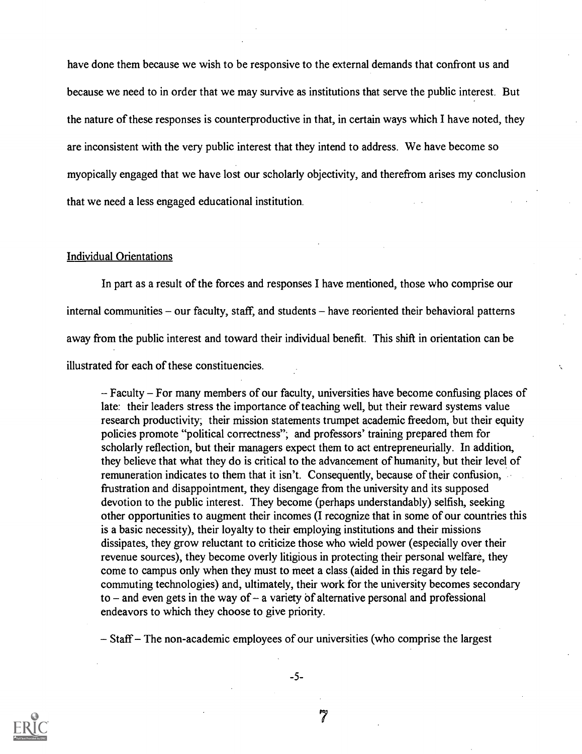have done them because we wish to be responsive to the external demands that confront us and because we need to in order that we may survive as institutions that serve the public interest. But the nature of these responses is counterproductive in that, in certain ways which I have noted, they are inconsistent with the very public interest that they intend to address. We have become so myopically engaged that we have lost our scholarly objectivity, and therefrom arises my conclusion that we need a less engaged educational institution.

#### Individual Orientations

In part as a result of the forces and responses I have mentioned, those who comprise our internal communities  $-$  our faculty, staff, and students  $-$  have reoriented their behavioral patterns away from the public interest and toward their individual benefit. This shift in orientation can be illustrated for each of these constituencies.

- Faculty – For many members of our faculty, universities have become confusing places of late: their leaders stress the importance of teaching well, but their reward systems value research productivity; their mission statements trumpet academic freedom, but their equity policies promote "political correctness"; and professors' training prepared them for scholarly reflection, but their managers expect them to act entrepreneurially. In addition, they believe that what they do is critical to the advancement of humanity, but their level of remuneration indicates to them that it isn't. Consequently, because of their confusion, frustration and disappointment, they disengage from the university and its supposed devotion to the public interest. They become (perhaps understandably) selfish, seeking other opportunities to augment their incomes (I recognize that in some of our countries this is a basic necessity), their loyalty to their employing institutions and their missions dissipates, they grow reluctant to criticize those who wield power (especially over their revenue sources), they become overly litigious in protecting their personal welfare, they come to campus only when they must to meet a class (aided in this regard by telecommuting technologies) and, ultimately, their work for the university becomes secondary to  $-$  and even gets in the way of  $-$  a variety of alternative personal and professional endeavors to which they choose to give priority.

 $-$  Staff  $-$  The non-academic employees of our universities (who comprise the largest



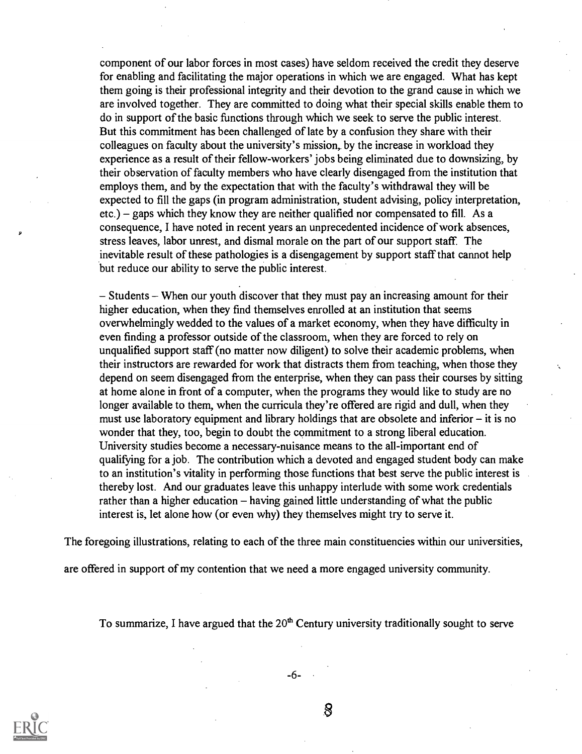component of our labor forces in most cases) have seldom received the credit they deserve for enabling and facilitating the major operations in which we are engaged. What has kept them going is their professional integrity and their devotion to the grand cause in which we are involved together. They are committed to doing what their special skills enable them to do in support of the basic functions through which we seek to serve the public interest. But this commitment has been challenged of late by a confusion they share with their colleagues on faculty about the university's mission, by the increase in workload they experience as a result of their fellow-workers' jobs being eliminated due to downsizing, by their observation of faculty members who have clearly disengaged from the institution that employs them, and by the expectation that with the faculty's withdrawal they will be expected to fill the gaps (in program administration, student advising, policy interpretation, etc.) – gaps which they know they are neither qualified nor compensated to fill. As a consequence, I have noted in recent years an unprecedented incidence of work absences, stress leaves, labor unrest, and dismal morale on the part of our support staff. The inevitable result of these pathologies is a disengagement by support staff that cannot help but reduce our ability to serve the public interest.

 $-$  Students  $-$  When our youth discover that they must pay an increasing amount for their higher education, when they find themselves enrolled at an institution that seems overwhelmingly wedded to the values of a market economy, when they have difficulty in even finding a professor outside of the classroom, when they are forced to rely on unqualified support staff (no matter now diligent) to solve their academic problems, when their instructors are rewarded for work that distracts them from teaching, when those they depend on seem disengaged from the enterprise, when they can pass their courses by sitting at home alone in front of a computer, when the programs they would like to study are no longer available to them, when the curricula they're offered are rigid and dull, when they must use laboratory equipment and library holdings that are obsolete and inferior  $-$  it is no wonder that they, too, begin to doubt the commitment to a strong liberal education. University studies become a necessary-nuisance means to the all-important end of qualifying for a job. The contribution which a devoted and engaged student body can make to an institution's vitality in performing those functions that best serve the public interest is thereby lost. And our graduates leave this unhappy interlude with some work credentials rather than a higher education  $-$  having gained little understanding of what the public interest is, let alone how (or even why) they themselves might try to serve it.

The foregoing illustrations, relating to each of the three main constituencies within our universities,

are offered in support of my contention that we need a more engaged university community.

To summarize, I have argued that the  $20<sup>th</sup>$  Century university traditionally sought to serve

-6-

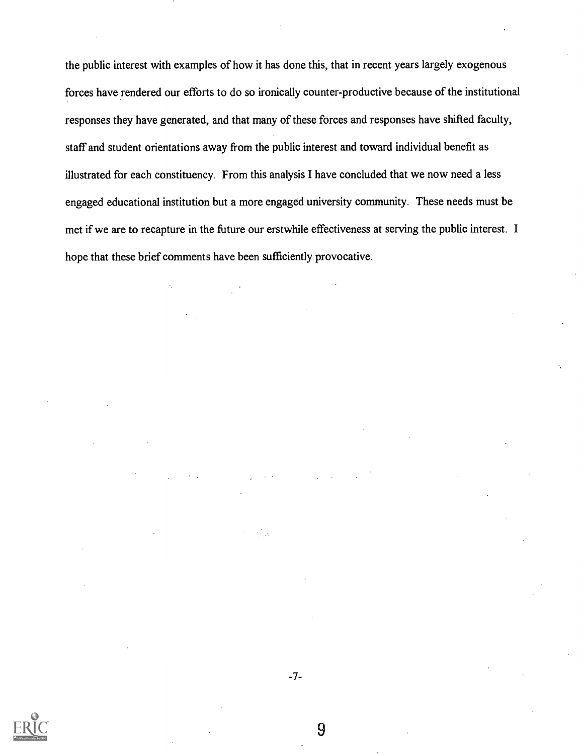the public interest with examples of how it has done this, that in recent years largely exogenous forces have rendered our efforts to do so ironically counter-productive because of the institutional responses they have generated, and that many of these forces and responses have shifted faculty, staff and student orientations away from the public interest and toward individual benefit as illustrated for each constituency. From this analysis I have concluded that we now need a less engaged educational institution but a more engaged university community. These needs must be met if we are to recapture in the future our erstwhile effectiveness at serving the public interest. I hope that these brief comments have been sufficiently provocative.



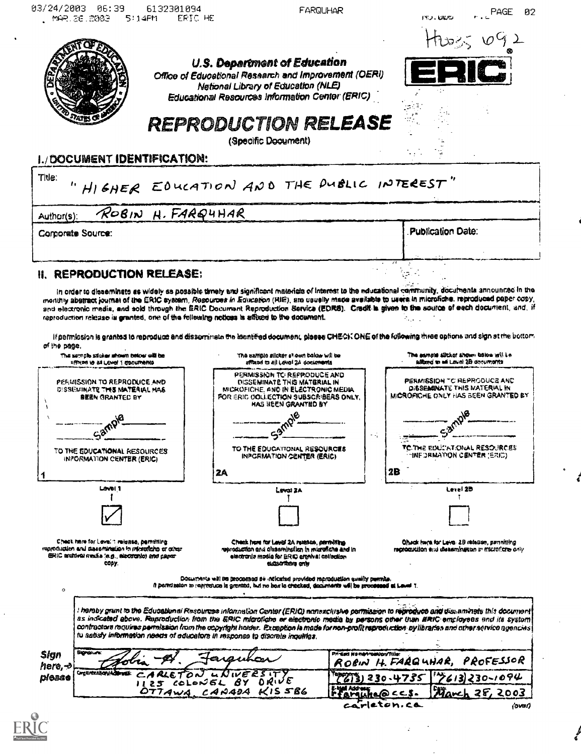| 03/24/2003<br>06:39<br>6132301094<br>FRIC HE<br>MAR. 26, 2003<br>5:14FM                                                                                                                                                                                                                                                                                 | FARQUHAR                                                                                                                                                                                                                                                                                                                                                                                                                                                                                           | PAGE<br><b>ששש. כא</b>                                                                                                                                                                                                                                                                              |
|---------------------------------------------------------------------------------------------------------------------------------------------------------------------------------------------------------------------------------------------------------------------------------------------------------------------------------------------------------|----------------------------------------------------------------------------------------------------------------------------------------------------------------------------------------------------------------------------------------------------------------------------------------------------------------------------------------------------------------------------------------------------------------------------------------------------------------------------------------------------|-----------------------------------------------------------------------------------------------------------------------------------------------------------------------------------------------------------------------------------------------------------------------------------------------------|
|                                                                                                                                                                                                                                                                                                                                                         |                                                                                                                                                                                                                                                                                                                                                                                                                                                                                                    | Huse $092$                                                                                                                                                                                                                                                                                          |
|                                                                                                                                                                                                                                                                                                                                                         | U.S. Department of Education                                                                                                                                                                                                                                                                                                                                                                                                                                                                       |                                                                                                                                                                                                                                                                                                     |
|                                                                                                                                                                                                                                                                                                                                                         | Office of Educational Research and Improvement (OERI)<br>Netional Library of Education (NLE)                                                                                                                                                                                                                                                                                                                                                                                                       |                                                                                                                                                                                                                                                                                                     |
|                                                                                                                                                                                                                                                                                                                                                         | Educational Resources Information Center (ERIC)                                                                                                                                                                                                                                                                                                                                                                                                                                                    |                                                                                                                                                                                                                                                                                                     |
|                                                                                                                                                                                                                                                                                                                                                         | <b>REPRODUCTION RELEASE</b>                                                                                                                                                                                                                                                                                                                                                                                                                                                                        |                                                                                                                                                                                                                                                                                                     |
|                                                                                                                                                                                                                                                                                                                                                         | (Specific Document)                                                                                                                                                                                                                                                                                                                                                                                                                                                                                |                                                                                                                                                                                                                                                                                                     |
| I./DOCUMENT IDENTIFICATION:                                                                                                                                                                                                                                                                                                                             |                                                                                                                                                                                                                                                                                                                                                                                                                                                                                                    |                                                                                                                                                                                                                                                                                                     |
| Title:                                                                                                                                                                                                                                                                                                                                                  | HIGHER EDUCATION AND THE PUBLIC INTEREST"                                                                                                                                                                                                                                                                                                                                                                                                                                                          |                                                                                                                                                                                                                                                                                                     |
| ROBIN H. FARQUHAR<br>Author(s):                                                                                                                                                                                                                                                                                                                         |                                                                                                                                                                                                                                                                                                                                                                                                                                                                                                    |                                                                                                                                                                                                                                                                                                     |
| Corporate Source:                                                                                                                                                                                                                                                                                                                                       |                                                                                                                                                                                                                                                                                                                                                                                                                                                                                                    | <b>Publication Date:</b>                                                                                                                                                                                                                                                                            |
| <b>II. REPRODUCTION RELEASE:</b>                                                                                                                                                                                                                                                                                                                        |                                                                                                                                                                                                                                                                                                                                                                                                                                                                                                    |                                                                                                                                                                                                                                                                                                     |
|                                                                                                                                                                                                                                                                                                                                                         | monthly abstract journal of the ERIC system, Resources in Ediscation (RIE), are usually made available to users in microfiche, reproduced paper copy,<br>and electronic media, and sold through the ERIC Document Reproduction Service (EDRS). Credit is given to the source of each document, and, if                                                                                                                                                                                             |                                                                                                                                                                                                                                                                                                     |
| The semple sacker ahoun below will be<br><b>STRIPS IS AN LEVEL 1 EDCUMBING</b><br>PERMISSION TO REPRODUCE AND<br>DISSEMINATE THIS MATERIAL MAS<br><b>BREN GRANTED BY</b><br>٠a<br>TO THE EDUCATIONAL RESOURCES<br>INPORMATION CENTER (ERIC)<br>Lavel 1                                                                                                  | If permission is granted to reproduce and disservirista the bentified document, places CHEOK ONE of the following three options and sign at the bottom<br>The sample sileagr shown below will be<br>affinad to all Level 2A documents<br>PERMISSION TC-REPPLODUCE AND<br>DISSEMINATE THIS MATERIAL IN<br>MICROFICHE, AND IN ELECTRONIC MEDIA<br>FOR ERIC OOLLECTION SUBSCRIBERS ONLY.<br>HAS BEEN GRANTED BY<br>лØ.<br>TO THE EDUCATIONAL RESOURCES<br>INPORMATION CENTER (ERIC)<br>2A<br>Leval ZA | The sample slicker shown below will in<br>alitard in will Lave) 2B decumants<br>PERMISSION TO REPRODUCE AND<br>DISSEMINATE THIS MATERIAL IN<br>MICROFICHE ONLY HAS BEEN GRANTED BY<br>$\lambda^{\mathcal{B}}$<br>TC THE EDUCATIONAL RESOURCES<br><b>INFORMATION CENTER (ERIC)</b><br>2B<br>Lerni 2B |
|                                                                                                                                                                                                                                                                                                                                                         |                                                                                                                                                                                                                                                                                                                                                                                                                                                                                                    |                                                                                                                                                                                                                                                                                                     |
| Check hare for Level 1 relates, pernitting<br>сору.                                                                                                                                                                                                                                                                                                     | Check have for Level 2A russian, permitting<br>reproduction and cleasminglion in migratiche and in<br>elactronia madia for ERIO erenival collection<br><b>BUSIC TOBAT OF W</b>                                                                                                                                                                                                                                                                                                                     | Check here for Leve. 29 release, penniting<br>recroquidon end diseaminguas in microficre only                                                                                                                                                                                                       |
|                                                                                                                                                                                                                                                                                                                                                         | Documents will be processed be indicated provided reproduction quality parricle.<br>If portrission to respression is greated, but no box in checked, decuments will be processed at Level 1.                                                                                                                                                                                                                                                                                                       |                                                                                                                                                                                                                                                                                                     |
| reproduction release is granted, one of the following notices is affixed to the document.<br>of the page.<br>reproduction and dissomination in intercriticity or other<br>ERIC escrival media 'e.g. electronio) and paper<br>$\circ$<br>tu satisfy information needs of educators in response to discrete inquiries.<br><b>Surgiure:</b><br><b>Sign</b> | I hereby grant to the Educational Resources information Genter (ERIO) nonexclustve permission to reproduce and disseminate this document.<br>as indicated above. Reproduction from the ERIC microfiche or electronic media by persons other than ERIC employees and its system<br>contractors requires permission from the copyright harder. Exception is made for non-profit reproduction by libraries and other service agencies<br>Privated Market-bestow fals:                                 |                                                                                                                                                                                                                                                                                                     |
| here, →<br>Orgunization Administr<br>CARLETON LNIVER<br>ріозео                                                                                                                                                                                                                                                                                          | $1125$ coloriel BY DRIVE<br>E-W Address                                                                                                                                                                                                                                                                                                                                                                                                                                                            | ROEIN H. FARGUHAR, PROFESSOR<br>$12613230 - 1094$<br>るう 230・4735                                                                                                                                                                                                                                    |

ä,

لم<br>نج

 $\cdot$ 

 $\hat{\mathbf{r}}$